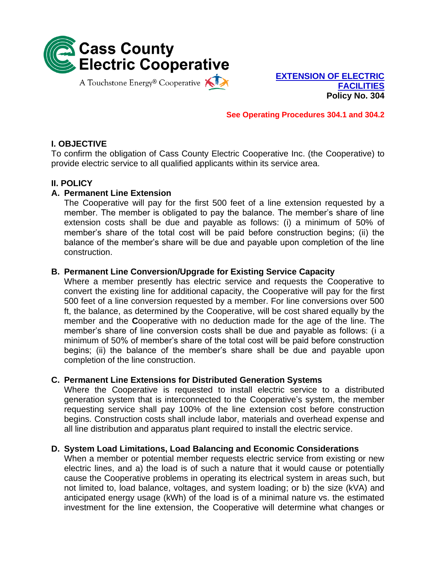

**EXTENSION OF ELECTRIC FACILITIES Policy No. 304**

**See Operating Procedures 304.1 and 304.2**

# **I. OBJECTIVE**

To confirm the obligation of Cass County Electric Cooperative Inc. (the Cooperative) to provide electric service to all qualified applicants within its service area.

## **II. POLICY**

## **A. Permanent Line Extension**

The Cooperative will pay for the first 500 feet of a line extension requested by a member. The member is obligated to pay the balance. The member's share of line extension costs shall be due and payable as follows: (i) a minimum of 50% of member's share of the total cost will be paid before construction begins; (ii) the balance of the member's share will be due and payable upon completion of the line construction.

## **B. Permanent Line Conversion/Upgrade for Existing Service Capacity**

Where a member presently has electric service and requests the Cooperative to convert the existing line for additional capacity, the Cooperative will pay for the first 500 feet of a line conversion requested by a member. For line conversions over 500 ft, the balance, as determined by the Cooperative, will be cost shared equally by the member and the **C**ooperative with no deduction made for the age of the line. The member's share of line conversion costs shall be due and payable as follows: (i a minimum of 50% of member's share of the total cost will be paid before construction begins; (ii) the balance of the member's share shall be due and payable upon completion of the line construction.

## **C. Permanent Line Extensions for Distributed Generation Systems**

Where the Cooperative is requested to install electric service to a distributed generation system that is interconnected to the Cooperative's system, the member requesting service shall pay 100% of the line extension cost before construction begins. Construction costs shall include labor, materials and overhead expense and all line distribution and apparatus plant required to install the electric service.

## **D. System Load Limitations, Load Balancing and Economic Considerations**

When a member or potential member requests electric service from existing or new electric lines, and a) the load is of such a nature that it would cause or potentially cause the Cooperative problems in operating its electrical system in areas such, but not limited to, load balance, voltages, and system loading; or b) the size (kVA) and anticipated energy usage (kWh) of the load is of a minimal nature vs. the estimated investment for the line extension, the Cooperative will determine what changes or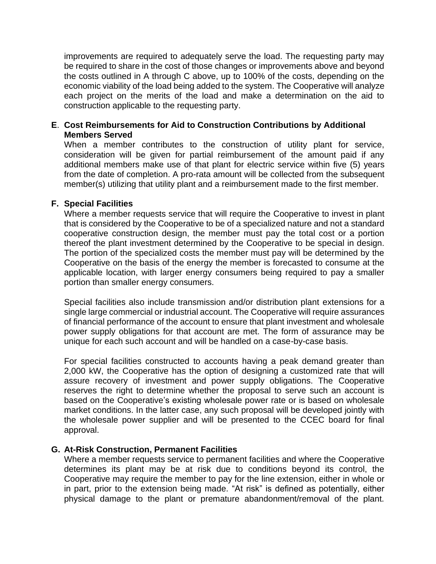improvements are required to adequately serve the load. The requesting party may be required to share in the cost of those changes or improvements above and beyond the costs outlined in A through C above, up to 100% of the costs, depending on the economic viability of the load being added to the system. The Cooperative will analyze each project on the merits of the load and make a determination on the aid to construction applicable to the requesting party.

#### **E**. **Cost Reimbursements for Aid to Construction Contributions by Additional Members Served**

When a member contributes to the construction of utility plant for service, consideration will be given for partial reimbursement of the amount paid if any additional members make use of that plant for electric service within five (5) years from the date of completion. A pro-rata amount will be collected from the subsequent member(s) utilizing that utility plant and a reimbursement made to the first member.

## **F. Special Facilities**

Where a member requests service that will require the Cooperative to invest in plant that is considered by the Cooperative to be of a specialized nature and not a standard cooperative construction design, the member must pay the total cost or a portion thereof the plant investment determined by the Cooperative to be special in design. The portion of the specialized costs the member must pay will be determined by the Cooperative on the basis of the energy the member is forecasted to consume at the applicable location, with larger energy consumers being required to pay a smaller portion than smaller energy consumers.

Special facilities also include transmission and/or distribution plant extensions for a single large commercial or industrial account. The Cooperative will require assurances of financial performance of the account to ensure that plant investment and wholesale power supply obligations for that account are met. The form of assurance may be unique for each such account and will be handled on a case-by-case basis.

For special facilities constructed to accounts having a peak demand greater than 2,000 kW, the Cooperative has the option of designing a customized rate that will assure recovery of investment and power supply obligations. The Cooperative reserves the right to determine whether the proposal to serve such an account is based on the Cooperative's existing wholesale power rate or is based on wholesale market conditions. In the latter case, any such proposal will be developed jointly with the wholesale power supplier and will be presented to the CCEC board for final approval.

## **G. At-Risk Construction, Permanent Facilities**

Where a member requests service to permanent facilities and where the Cooperative determines its plant may be at risk due to conditions beyond its control, the Cooperative may require the member to pay for the line extension, either in whole or in part, prior to the extension being made. "At risk" is defined as potentially, either physical damage to the plant or premature abandonment/removal of the plant.